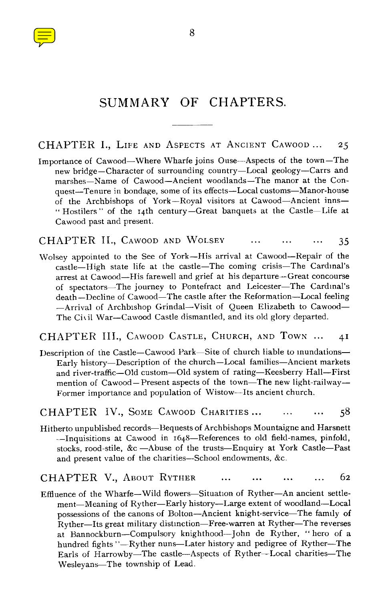

# SUMMARY OF CHAPTERS.

CHAPTER I., LIFE AND ASPECTS AT ANCIENT CAWOOD ... 25

Importance of Cawood—Where Wharfe joins Ouse—Aspects of the town—The new bridge—Character of surrounding country—Local geology—Carrs and marshes—Name of Cawood—Ancient woodlands—The manor at the Conquest—Tenure in bondage, some of its effects—Local customs—Manor-house of the Archbishops of York—Royal visitors at Cawood—Ancient inns- - Hostilers " of the 14th century—Great banquets at the Castle—Life at Cawood past and present.

CHAPTER II., CAWOOD AND WOLSEY 35

Wolsey appointed to the See of York—His arrival at Cawood—Repair of the castle—High state life at the castle—The coming crisis—The Cardinal's arrest at Cawood—His farewell and grief at his departure—Great concourse of spectators—The journey to Pontefract and Leicester—The Cardinal's death—Decline of Cawood—The castle after the Reformation—Local feeling —Arrival of Archbishop Grindal—Visit of Queen Elizabeth to Cawood— The Civil War—Cawood Castle dismantled, and its old glory departed.

CHAPTER III., CAWOOD CASTLE, CHURCH, AND TOWN ... 41

Description of the Castle—Cawood Park—Site of church liable to inundations— Early history—Description of the church—Local families—Ancient markets and river-traffic—Old custom—Old system of rating—Keesberry Hall—First mention of Cawood-Present aspects of the town-The new light-railway-Former importance and population of Wistow—Its ancient church.

CHAPTER IV., SOME CAWOOD CHARITIES... ... ... 58

Hitherto unpublished records—Bequests of Archbishops Mountaigne and Harsnett —Inquisitions at Cawood in 1648—References to old field-names, pinfold, stocks, rood-stile, &c —Abuse of the trusts—Enquiry at York Castle—Past and present value of the charities—School endowments, &c.

CHAPTER V., ABOUT RYTHER 62  $\ddotsc$ 

Effluence of the Wharfe—Wild flowers—Situation of Ryther—An ancient settlement—Meaning of Ryther—Early history—Large extent of woodland—Local possessions of the canons of Bolton—Ancient knight-service—The family of Ryther—Its great military distinction—Free-warren at Ryther—The reverses at Bannockburn—Compulsory knighthood—John de Ryther, " hero of a hundred fights "—Ryther nuns—Later history and pedigree of Ryther—The Earls of Harrowby—The castle—Aspects of Ryther—Local charities—The Wesleyans—The township of Lead.

8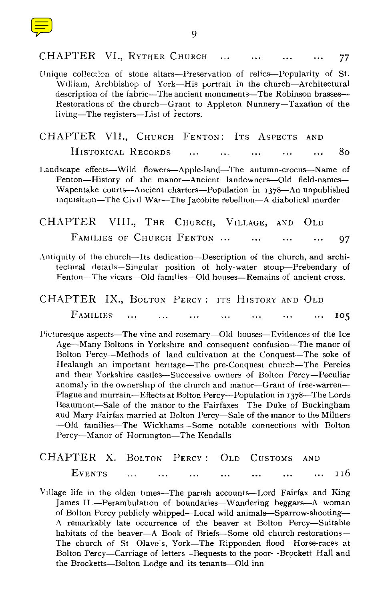| CHAPTER VI., RYTHER CHURCH<br>77                                                                                                                                                                                                                                                                                                                                                                                                                                                                                                                                                                                                                                                                                                                                                              |
|-----------------------------------------------------------------------------------------------------------------------------------------------------------------------------------------------------------------------------------------------------------------------------------------------------------------------------------------------------------------------------------------------------------------------------------------------------------------------------------------------------------------------------------------------------------------------------------------------------------------------------------------------------------------------------------------------------------------------------------------------------------------------------------------------|
| Unique collection of stone altars-Preservation of relics-Popularity of St.<br>William, Archbishop of York-His portrait in the church-Architectural<br>description of the fabric-The ancient monuments-The Robinson brasses-<br>Restorations of the church-Grant to Appleton Nunnery-Taxation of the<br>living-The registers-List of rectors.                                                                                                                                                                                                                                                                                                                                                                                                                                                  |
| CHAPTER VII., CHURCH FENTON: ITS ASPECTS<br><b>AND</b>                                                                                                                                                                                                                                                                                                                                                                                                                                                                                                                                                                                                                                                                                                                                        |
| HISTORICAL RECORDS<br>80                                                                                                                                                                                                                                                                                                                                                                                                                                                                                                                                                                                                                                                                                                                                                                      |
| Landscape effects-Wild flowers-Apple-land-The autumn-crocus--Name of<br>Fenton-History of the manor--Ancient landowners--Old field-names-<br>Wapentake courts—Ancient charters—Population in 1378—An unpublished<br>inquisition-The Civil War-The Jacobite rebellion-A diabolical murder                                                                                                                                                                                                                                                                                                                                                                                                                                                                                                      |
| CHAPTER VIII., THE CHURCH, VILLAGE, AND OLD                                                                                                                                                                                                                                                                                                                                                                                                                                                                                                                                                                                                                                                                                                                                                   |
| FAMILIES OF CHURCH FENTON<br>97                                                                                                                                                                                                                                                                                                                                                                                                                                                                                                                                                                                                                                                                                                                                                               |
| Antiquity of the church—Its dedication—Description of the church, and archi-<br>tectural details-Singular position of holy-water stoup-Prebendary of<br>Fenton—The vicars—Old families—Old houses—Remains of ancient cross.                                                                                                                                                                                                                                                                                                                                                                                                                                                                                                                                                                   |
| CHAPTER<br>IX., BOLTON PERCY: ITS HISTORY AND OLD                                                                                                                                                                                                                                                                                                                                                                                                                                                                                                                                                                                                                                                                                                                                             |
| <b>FAMILIES</b><br>105                                                                                                                                                                                                                                                                                                                                                                                                                                                                                                                                                                                                                                                                                                                                                                        |
| Picturesque aspects-The vine and rosemary-Old houses-Evidences of the Ice<br>Age-Many Boltons in Yorkshire and consequent confusion-The manor of<br>Bolton Percy-Methods of land cultivation at the Conquest-The soke of<br>Healaugh an important heritage—The pre-Conquest church—The Percies<br>and their Yorkshire castles—Successive owners of Bolton Percy—Peculiar<br>anomaly in the ownership of the church and manor-Grant of free-warren-<br>Plague and murrain—Effects at Bolton Percy—Population in 1378—The Lords<br>Beaumont-Sale of the manor to the Fairfaxes-The Duke of Buckingham<br>aud Mary Fairfax married at Bolton Percy-Sale of the manor to the Milners<br>-Old families-The Wickhams-Some notable connections with Bolton<br>Percy-Manor of Hornington-The Kendalls |
| CHAPTER X. BOLTON PERCY: OLD CUSTOMS<br>AND                                                                                                                                                                                                                                                                                                                                                                                                                                                                                                                                                                                                                                                                                                                                                   |
| EVENTS<br>116                                                                                                                                                                                                                                                                                                                                                                                                                                                                                                                                                                                                                                                                                                                                                                                 |
| Village life in the olden times. The parish accounts. Lord Fairfox and King                                                                                                                                                                                                                                                                                                                                                                                                                                                                                                                                                                                                                                                                                                                   |

Village life in the olden times—The parish accounts—Lord Fairfax and King James IL—Perambulation of boundaries—Wandering beggars—A woman of Bolton Percy publicly whipped—Local wild animals—Sparrow-shooting— A remarkably late occurrence of the beaver at Bolton Percy-Suitable habitats of the beaver—A Book of Briefs—Some old church restorations— The church of St Olave's, York—The Ripponden flood—Horse-races at Bolton Percy—Carriage of letters—Bequests to the poor—Brockett Hall and the Brocketts—Bolton Lodge and its tenants—Old inn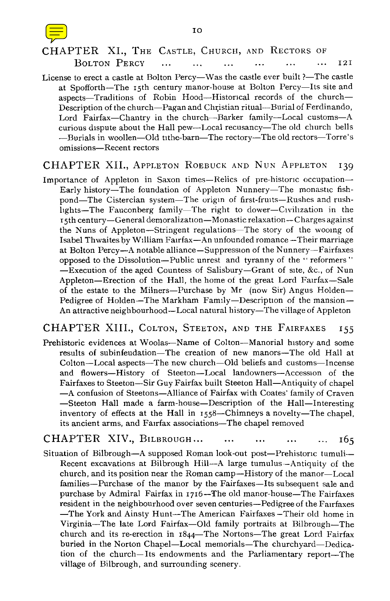

### BOLTON PERCY ... ... ... ... ... ... ... 12I

License to erect a castle at Bolton Percy—Was the castle ever built ?—The castle at Spofforth—The 15th century manor-house at Bolton Percy—Its site and aspects—Traditions of Robin Hood—Historical records of the church— Description of the church—Pagan and Christian ritual—Burial of Ferdinando, Lord Fairfax—Chantry in the church—Barker family—Local customs—A curious dispute about the Hall pew—Local recusancy—The old church bells —Burials in woollen—Old tithe-barn—The rectory—The old rectors—Torre's omissions—Recent rectors

### CHAPTER XII., APPLETON ROEBUCK AND NUN APPLETON 139

Importance of Appleton in Saxon times—Relics of pre-historic occupation— Early history—The foundation of Appleton Nunnery—The monastic fishpond—The Cistercian system—The origin of first-fruits—Rushes and rushlights—The Fauconberg family—The right to dower—Civilization in the 15th century—General demoralization—Monastic relaxation—Charges against the Nuns of Appleton—Stringent regulations—The story of the wooing of Isabel Thwaites by William Fairfax—An unfounded romance —Their marriage at Bolton Percy—A notable alliance—Suppression of the Nunnery—Fairfaxes opposed to the Dissolution—Public unrest and tyranny of the " reformers " —Execution of the aged Countess of Salisbury—Grant of site, &c., of Nun Appleton—Erection of the Hall, the home of the great Lord Fairfax—Sale of the estate to the Milners—Purchase by Mr (now Sir) Angus Holden— Pedigree of Holden—The Markham Family—Description of the mansion— An attractive neighbourhood—Local natural history—The village of Appleton

### CHAPTER XIII., COLTON, STEETON, AND THE FAIRFAXES 155

Prehistoric evidences at Woolas—Name of Colton—Manorial history and some results of subinfeudation—The creation of new manors—The old Hall at Colton—Local aspects—The new church—Old beliefs and customs—Incense and flowers—History of Steeton—Local landowners—Accession of the Fairfaxes to Steeton—Sir Guy Fairfax built Steeton Hall—Antiquity of chapel —A confusion of Steetons—Alliance of Fairfax with Coates' family of Craven —Steeton Hall made a farm-house—Description of the Hall—Interesting inventory of effects at the Hall in 1558—Chimneys a novelty—The chapel, its ancient arms, and Fairfax associations—The chapel removed

### CHAPTER XIV., BILBROUGH... ... ... ... ... 165

Situation of Bilbrough—A supposed Roman look-out post—Prehistoric tumuli-- Recent excavations at Bilbrough Hill--A large tumulus—Antiquity of the church, and its position near the Roman camp—History of the manor—Local families—Purchase of the manor by the Fairfaxes—Its subsequent sale and purchase by Admiral Fairfax in 1716—The old manor-house—The Fairfaxes resident in the neighbourhood over seven centuries—Pedigree of the Fairfaxes —The York and Ainsty Hunt—The American Fairfaxes —Their old home in Virginia—The late Lord Fairfax—Old family portraits at Bilbrough—The church and its re-erection in  $1844$ —The Nortons—The great Lord Fairfax buried in the Norton Chapel—Local memorials—The churchyard—Dedication of the church—Its endowments and the Parliamentary report—The village of Bilbrough, and surrounding scenery.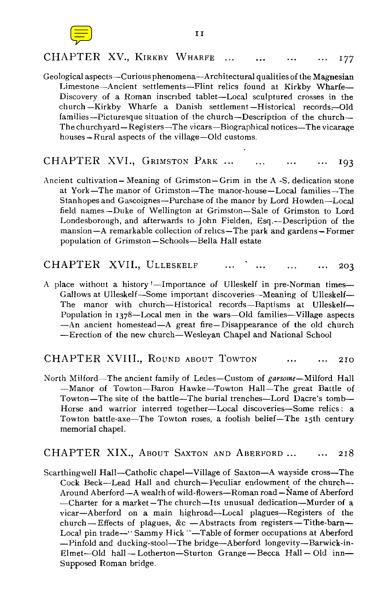

### CHAPTER XV., KIRKBY WHARFE ... ... ... ... 177

Geological aspects—Curious phenomena—Architectural qualities of the Magnesian Limestone—Ancient settlements—Flint relics found at Kirkby Wharfe— Discovery of a Roman inscribed tablet—Local sculptured crosses in the church —Kirkby Wharfe a Danish settlement —Historical records-Old families—Picturesque situation of the church—Description of the church— The churchyard—Registers—The vicars—Biographical notices—The vicarage houses—Rural aspects of the village—Old customs.

CHAPTER XVI., GRIMSTON PARK ... ... ... ... 193

Ancient cultivation— Meaning of Grimston— Grim in the A -S. dedication stone at York—The manor of Grimston—The manor-house—Local families—The Stanhopes and Gascoignes—Purchase of the manor by Lord Howden—Local field names—Duke of Wellington at Grimston—Sale of Grimston to Lord Londesborough, and afterwards to John Fielden, Esq.—Description of the mansion—A remarkable collection of relics—The park and gardens—Former population of Grimston—Schools—Bella Hall estate

### CHAPTER XVII., ULLESKELF ... ... ... ... 203

A place without a history —Importance of Ulleskelf in pre-Norman times— Gallows at Ulleskelf—Some important discoveries—Meaning of Ulleskelf— The manor with church—Historical records—Baptisms at Ulleskelf— Population in 1378—Local men in the wars—Old families—Village aspects —An ancient homestead—A great fire—Disappearance of the old church Erection of the new church—Wesleyan Chapel and National School

### CHAPTER XVIII., ROUND ABOUT TOWTON ... ... 210

North Milford—The ancient family of Ledes—Custom of garsome—Milford Hall Manor of Towton—Baron Hawke—Towton Hall—The great Battle of Towton—The site of the battle—The burial trenches—Lord Dacre's tomb— Horse and warrior interred together—Local discoveries—Some relics : a Towton battle-axe—The Towton roses, a foolish belief—The 15th century memorial chapel.

### CHAPTER XIX., ABOUT SAXTON AND ABERFORD ... ... 218

Scarthingwell Hall—Catholic chapel—Village of Saxton—A wayside cross—The Cock Beck—Lead Hall and church—Peculiar endowment of the church— Around Aberford—A wealth of wild-flowers—Roman road -Name of Aberford —Charter for a market —The church—Its unusual dedication—Murder of a vicar—Aberford on a main highroad—Local plagues—Registers of the church-Effects of plagues, &c -Abstracts from registers-Tithe-barn-Local pin trade--" Sammy Hick "-Table of former occupations at Aberford Pinfold and ducking-stool—The bridge—Aberford longevity—Barwick-in-Elmet—Old hall— Lotherton—Sturton Grange —Becca Hall—Old inn— Supposed Roman bridge.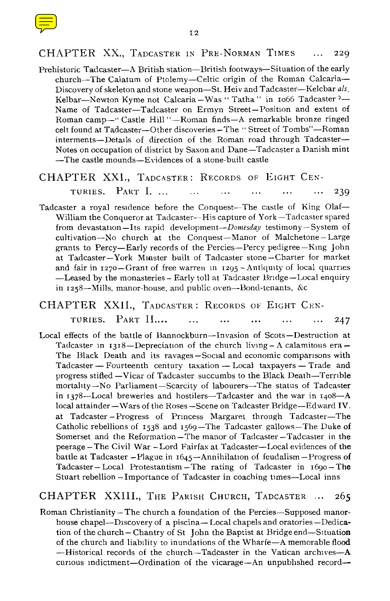

### CHAPTER XX., TADCASTER IN PRE-NORMAN TIMES ... 229

Prehistoric Tadcaster–A British station–British footways–Situation of the early church–The Calatum of Ptolemy–Celtic origin of the Roman Calcaria-- Discovery of skeleton and stone weapon–St. Heiv and Tadcaster–Kelcbar *als.* Kelbar–Newton Kyme not Calcaria – Was "Tatha " in 1066 Tadcaster ?-Name of Tadcaster–Tadcaster on Ermyn Street–Position and extent of Roman camp–• ' Castle Hill "–Roman finds–A remarkable bronze ringed celt found at Tadcaster–Other discoveries–The " Street of Tombs"–Roman interments–Details of direction of the Roman road through Tadcaster– Notes on occupation of district by Saxon and Dane–Tadcaster a Danish mint –The castle mounds–Evidences of a stone-built castle

# CHAPTER XXI., TADCASTER: RECORDS OF EIGHT CENTRURIES. PART I. ... ... ... ... ... ... 239

Tadcaster a royal residence before the Conquest-The castle of King Olaf-William the Conqueror at Tadcaster–His capture of York –Tadcaster spared from devastation-Its rapid development-Domesday testimony-System of cultivation–No church at the Conquest–Manor of Malchetone – Large grants to Percy–Early records of the Percies–Percy pedigree–King John at Tadcaster–York Minster built of Tadcaster stone–Charter for market and fair in 1270–Grant of free warren in 1295 – Antiquity of local quarries –Leased by the monasteries – Early toll at Tadcaster Bridge–Local enquiry in 1258–Mills, manor-house, and public oven–Bond-tenants, &c

## CHAPTER XXII., TADCASTER : RECORDS OF EIGHT CEN-TURIES. PART II.... ... ... ... ... ... 247

Local effects of the battle of Bannockburn–Invasion of Scots–Destruction at Tadcaster in  $1318$ -Depreciation of the church living - A calamitous era-The Black Death and its ravages –Social and economic comparisons with Tadcaster – Fourteenth century taxation – Local taxpayers – Trade and progress stifled –Vicar of Tadcaster succumbs to the Black Death–Terrible mortality–No Parliament–Scarcity of labourers–The status of Tadcaster in 1378–Local breweries and hostilers–Tadcaster and the war in 1408–A local attainder–Wars of the Roses –Scene on Tadcaster Bridge–Edward IV. at Tadcaster –Progress of Princess Margaret through Tadcaster–The Catholic rebellions of 1538 and 1569–The Tadcaster gallows–The Duke of Somerset and the Reformation –The manor of Tadcaster –Tadcaster in the peerage –The Civil War –Lord Fairfax at Tadcaster–Local evidences of the battle at Tadcaster – Plague in  $1645$  – Annihilation of feudalism – Progress of Tadcaster– Local Protestantism –The rating of Tadcaster in 1690– The Stuart rebellion –Importance of Tadcaster in coaching times–Local inns

### CHAPTER XXIII., THE PARISH CHURCH, TADCASTER ... 265

Roman Christianity –The church a foundation of the Percies–Supposed manorhouse chapel–Discovery of a piscina– Local chapels and oratories –Dedication of the church– Chantry of St John the Baptist at Bridge end–Situation of the church and liability to inundations of the Wharfe–A memorable flood –Historical records of the church–Tadcaster in the Vatican archives–A curious indictment–Ordination of the vicarage–An unpublished record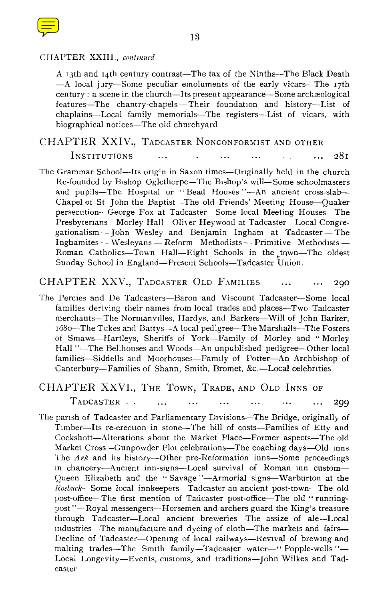

### CHAPTER XXIII., *continued*

A 13th and 14th century contrast—The tax of the Ninths—The Black Death —A local jury—Some peculiar emoluments of the early vicars—The 17th century : a scene in the church—Its present appearance—Some archæological features—The chantry-chapels—Their foundation and history—List of chaplains—Local family memorials—The registers—List of vicars, with biographical notices—The old churchyard

# CHAPTER XXIV., TADCASTER NONCONFORMIST AND OTHER<br>INSTITUTIONS ... . .. ... ... ... 281

The Grammar School--Its origin in Saxon times—Originally held in the church Re-founded by Bishop Oglethorpe—The Bishop's will—Some schoolmasters and pupils-The Hospital or "Bead Houses "-An ancient cross-slab-Chapel of St John the Baptist—The old Friends' Meeting House—Quaker persecution—George Fox at Tadcaster—Some local Meeting Houses—The Presbyterians—Morley Hall—Oliver Heywood at Tadcaster—Local Congregationalism — John Wesley and Benjamin Ingham at Tadcaster—The Inghamites — Wesleyans — Reform Methodists — Primitive Methodists — Roman Catholics—Town Hall—Eight Schools in the town—The oldest Sunday School in England—Present Schools—Tadcaster Union.

### CHAPTER XXV., TADCASTER OLD FAMILIES ... ... 290

The Percies and De Tadcasters—Baron and Viscount Tadcaster—Some local families deriving their names from local trades and places—Two Tadcaster merchants—The Normanvilles, Hardys, and Barkers—Will of John Barker, 1680—The Tukes and Battys—A local pedigree—The Marshalls—The Fosters of Smaws—Hartleys, Sheriffs of York—Family of Morley and " Morley Hall "—The Bellhouses and Woods—An unpublished pedigree—Other local families—Siddells and Moorhouses—Family of Potter—An Archbishop of Canterbury—Families of Shann, Smith, Bromet, &c.—Local celebrities

### CHAPTER XXVI., THE TOWN, TRADE, AND OLD INNS OF

TADCASTER .. 299

The parish of Tadcaster and Parliamentary Divisions—The Bridge, originally of Timber—Its re-erection in stone—The bill of costs—Families of Etty and Cockshott—Alterations about the Market Place—Former aspects—The old Market Cross—Gunpowder Plot celebrations—The coaching days—Old inns The *Ark* and its history—Other pre-Reformation inns—Some proceedings in chancery—Ancient inn-signs—Local survival of Roman inn custom— Queen Elizabeth and the " Savage "—Armorial signs—Warburton at the *Roebuck—Some* local innkeepers—Tadcaster an ancient post-town—The old post-office—The first mention of Tadcaster post-office—The old " runningpost "—Royal messengers—Horsemen and archers guard the King's treasure through Tadcaster—Local ancient breweries—The assize of ale—Local industries—The manufacture and dyeing of cloth—The markets and fairs— Decline of Tadcaster—Opening of local railways—Revival of brewing and malting trades—The Smith family—Tadcaster water—" Popple-wells "-Local Longevity—Events, customs, and traditions—John Wilkes and Tadcaster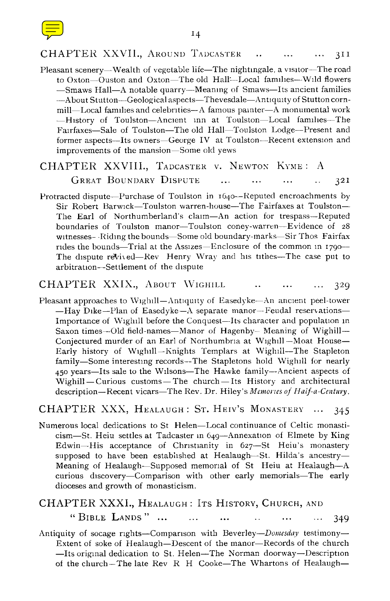

### CHAPTER XXVII., AROUND TADCASTER ... ... ... 311

Pleasant scenery—Wealth of vegetable life—The nightingale, a visitor—The road to Oxton—Ouston and Oxton—The old Hall—Local families—Wild flowers —Smaws Hall—A notable quarry—Meaning of Smaws—Its ancient families —About Stutton—Geological aspects—Thevesdale—Antiquity of Stutton cornmill—Local families and celebrities—A famous painter—A monumental work —History of Toulston—Ancient inn at Toulston—Local families—The Fairfaxes—Sale of Toulston—The old Hall—Toulston Lodge—Present and former aspects—Its owners—George IV at Toulston—Recent extension and improvements of the mansion—Some old yews

### CHAPTER XXVIII., TADCASTER V. NEWTON KYME: A GREAT BOUNDARY DISPUTE ... ... ... ... 32I

Protracted dispute—Purchase of Toulston in 1640—Reputed encroachments by Sir Robert Barwick—Toulston warren-house—The Fairfaxes at Toulston— The Earl of Northumberland's claim—An action for trespass—Reputed boundaries of Toulston manor—Toulston coney-warren—Evidence of 28 witnesses- Riding the bounds—Some old boundary-marks—Sir Thos Fairfax rides the bounds—Trial at the Assizes—Enclosure of the common in 1990— The dispute revived—Rev Henry Wray and his tithes—The case put to arbitration—Settlement of the dispute

### CHAPTER XXIX., ABOUT WIGHILL ... ... ... 329

Pleasant approaches to Wighill—Antiquity of Easedyke—An ancient peel-tower  $-Hay$  Dike—Plan of Easedyke—A separate manor—Feudal reservations— Importance of Wighill before the Conquest—Its character and population in Saxon times--Old field-names-Manor of Hagenby-- Meaning of Wighill-Conjectured murder of an Earl of Northumbria at Wighill —Moat House— Early history of Wighill—Knights Templars at Wighill—The Stapleton family—Some interesting records--The Stapletons hold Wighill for nearly 450 years—Its sale to the Wilsons—The Hawke family—Ancient aspects of Wighill —Curious customs—The church—Its History and architectural description—Recent vicars—The Rev. Dr. Hiley's *Memories of Half-a-Century.*

### CHAPTER XXX, HEALAUGH: ST. HEIV'S MONASTERY ... 345

Numerous local dedications to St Helen—Local continuance of Celtic monasticism—St. Heiu settles at Tadcaster in 6 49—Annexation of Elmete by King Edwin—His acceptance of Christianity in 627—St Heiu's monastery supposed to have been established at Healaugh—St. Hilda's ancestry— Meaning of Healaugh—Supposed memorial of St Heiu at Healaugh—A curious discovery—Comparison with other early memorials—The early dioceses and growth of monasticism.

# CHAPTER XXXI., HEALAUGH : ITS HISTORY, CHURCH, AND

"BIBLE LANDS" ... ... ... ... ... ... 349

Antiquity of socage rights—Comparison with *Beverley—Domesday* testimony— Extent of soke of Healaugh—Descent of the manor—Records of the church —Its original dedication to St. Helen—The Norman doorway—Description of the church—The late Rev R H Cooke—The Whartons of Healaugh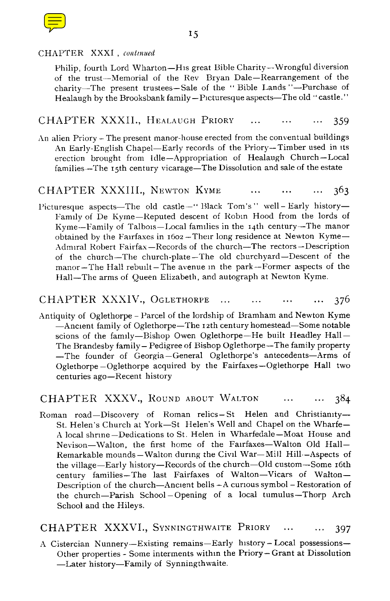

### CHAPTER XXXI , *continued*

Philip, fourth Lord Wharton-His great Bible Charity-Wrongful diversion of the trust-Memorial of the Rev Bryan Dale-Rearrangement of the charity-The present trustees-Sale of the "Bible Lands "--Purchase of Healaugh by the Brooksbank family-Picturesque aspects-The old "castle."

### CHAPTER XXXII., HEALAUGH PRIORY ... ... ... 359

An alien Priory - The present manor-house erected from the conventual buildings An Early-English Chapel-Early records of the Priory-Timber used in its erection brought from Idle-Appropriation of Healaugh Church-Local families—The 15th century vicarage—The Dissolution and sale of the estate

### CHAPTER XXXIII., NEWTON KYME  $363$

Picturesque aspects-The old castle-" Black Tom's" well-Early history-Family of De Kyme-Reputed descent of Robin Hood from the lords of Kyme--Family of Talbois-Local families in the 1 4th century-The manor obtained by the Fairfaxes in 1602 - Their long residence at Newton Kyme-Admiral Robert Fairfax-Records of the church-The rectors-Description of the church-The church-plate-The old churchyard-Descent of the manor - The Hall rebuilt - The avenue in the park -- Former aspects of the Hall-The arms of Queen Elizabeth, and autograph at Newton Kyme.

### CHAPTER XXXIV., OGLETHORPE ... ... ... ... 376

Antiquity of Oglethorpe - Parcel of the lordship of Bramham and Newton Kyme -Ancient family of Oglethorpe-The 12th century homestead-Some notable scions of the family-Bishop Owen Oglethorpe-He built Headley Hall-The Brandesby family- Pedigree of Bishop Oglethorpe-The family property -The founder of Georgia-General Oglethorpe's antecedents-Arms of Oglethorpe -Oglethorpe acquired by the Fairfaxes-Oglethorpe Hall two centuries ago-Recent history

### CHAPTER XXXV., ROUND ABOUT WALTON ... ... 384

Roman road-Discovery of Roman relics-St Helen and Christianity-St. Helen's Church at York-St Helen's Well and Chapel on the Wharfe-A local shrine-Dedications to St. Helen in Wharfedale-Moat House and Nevison-Walton, the first home of the Fairfaxes-Walton Old Hall-Remarkable mounds-Walton during the Civil War-Mill Hill--Aspects of the village-Early history-Records of the church-Old custom-Some 16th century families-The last Fairfaxes of Walton-Vicars of Walton-Description of the church-Ancient bells -A curious symbol - Restoration of the church-Parish School -Opening of a local tumulus-Thorp Arch School and the Hileys.

### CHAPTER XXXVI., SYNNINGTHWAITE PRIORY ... ... 397

A Cistercian Nunnery-Existing remains-Early history-Local possessions-Other properties - Some interments within the Priory- Grant at Dissolution Later history-Family of Synningthwaite.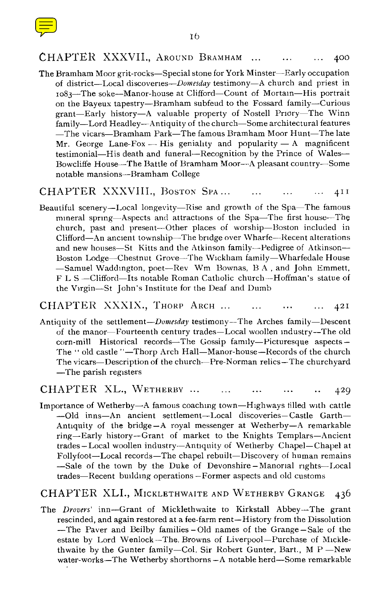

### 16

### CHAPTER XXXVII., AROUND BRAMHAM ... 400

The Bramham Moor grit-rocks–Special stone for York Minster–Early occupation of district–Local discoveries–Domesday testimony–A church and priest in 1083–The soke–Manor-house at Clifford–Count of Mortain–His portrait on the Bayeux tapestry–Bramham subfeud to the Fossard family–Curious grant–Early history–A valuable property of Nostell Priory–The Winn family–Lord Headley–Antiquity of the church–Some architectural features The vicars–Bramham Park–The famous Bramham Moor Hunt–The late Mr. George Lane-Fox  $-$  His geniality and popularity  $-$  A magnificent testimonial–His death and funeral–Recognition by the Prince of Wales– Bowcliffe House–The Battle of Bramham Moor–A pleasant country–Some notable mansions–Bramham College

### CHAPTER XXXVIII., Boston Spa... ... ... ... 411

Beautiful scenery–Local longevity–Rise and growth of the Spa–The famous mineral spring–Aspects and attractions of the Spa–The first house–The church, past and present–Other places of worship–Boston included in Clifford–An ancient township–The bridge over Wharfe–Recent alterations and new houses–St Kitts and the Atkinson family–Pedigree of Atkinson– Boston Lodge–Chestnut Grove–The Wickham family–Wharfedale House -Samuel Waddington, poet-Rev Wm Bownas, B A, and John Emmett, F L S –Clifford–Its notable Roman Catholic church–Hoffman's statue of the Virgin–St John's Institute for the Deaf and Dumb

### CHAPTER XXXIX., THORP ARCH ... ... ... ... 421

Antiquity of the settlement-Domesday testimony-The Arches family-Descent of the manor–Fourteenth century trades–Local woollen industry–The old corn-mill Historical records–The Gossip family–Picturesque aspects– The " old castle "–Thorp Arch Hall–Manor-house–Records of the church The vicars–Description of the church–Pre-Norman relics–The churchyard The parish registers

### CHAPTER XL., WETHERBY  $\cdots$   $\cdots$   $\cdots$   $\cdots$   $\cdots$   $\cdots$   $\cdots$

Importance of Wetherby–A famous coaching town–Highways tilled with cattle Old inns–An ancient settlement–Local discoveries–Castle Garth– Antiquity of the bridge –A royal messenger at Wetherby–A remarkable ring–Early history–Grant of market to the Knights Templars–Ancient trades –Local woollen industry–Antiquity of Wetherby Chapel–Chapel at Follyfoot–Local records–The chapel rebuilt–Discovery of human remains Sale of the town by the Duke of Devonshire –Manorial rights–Local trades–Recent building operations –Former aspects and old customs

### CHAPTER XLI., MICKLETHWAITE AND WETHERBY GRANGE 436

The *Drovers'* inn–Grant of Micklethwaite to Kirkstall Abbey--The grant rescinded, and again restored at a fee-farm rent–History from the Dissolution –The Paver and Beilby families–Old names of the Grange –Sale of the estate by Lord Wenlock –The, Browns of Liverpool–Purchase of Micklethwaite by the Gunter family–Col. Sir Robert Gunter, Bart., M P –New water-works–The Wetherby shorthorns –A notable herd–Some remarkable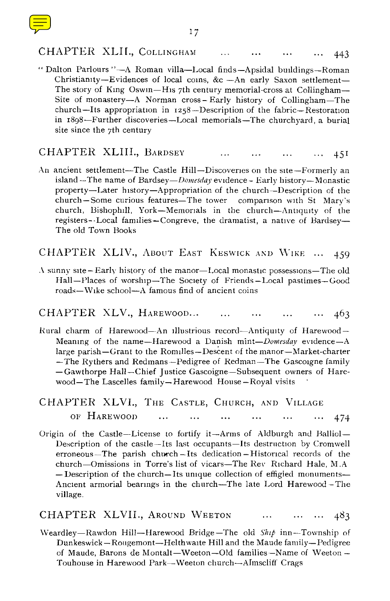## CHAPTER XLII., COLLINGHAM ... ... ... ... 443

" Dalton Parlours "–A Roman villa–Local finds–Apsidal buildings–Roman Christianity-Evidences of local coins, &c -An early Saxon settlement-The story of King Oswin–His 7th century memorial-cross at Collingham– Site of monastery–A Norman cross– Early history of Collingham–The church–Its appropriation in 1258–Description of the fabric–Restoration in 1898–Further discoveries–Local memorials–The churchyard, a burial site since the 7th century

### CHAPTER XLIII., BARDSEY 451

An ancient settlement–The Castle Hill–Discoveries on the site–Formerly an island – The name of Bardsey –  $Domesday$  evidence – Early history – Monastic property–Later history–Appropriation of the church–Description of the church–Some curious features–The tower comparison with St Mary's church, Bishophill, York–Memorials in the church–Antiquity of the registers--Local families–Congreve, the dramatist, a native of Bardsey– The old Town Books

CHAPTER XLIV., ABOUT EAST KEswIcK AND WIKE ... 459

 $\Lambda$  sunny site–Early history of the manor–Local monastic possessions–The old Hall–Places of worship–The Society of Friends–Local pastimes–Good roads–Wike school–A famous find of ancient coins

CHAPTER XLV., HAREWOOD... ... ... ... ... ... 463

- Rural charm of Harewood–An illustrious record–Antiquity of Harewood– Meaning of the name–Harewood a Danish *mint–Domesday* evidence–A large parish–Grant to the Romilles–Descent of the manor–Market-charter  $-$ The Rythers and Redmans–Pedigree of Redman–The Gascoigne family –Gawthorpe Hall–Chief Justice Gascoigne–Subsequent owners of Harewood–The Lascelles family–Harewood House –Royal visits
- CHAPTER XLVI., THE CASTLE, CHURCH, AND VILLAGE OF HAREWOOD ... ... ... ... ... ... 474
- Origin of the Castle–License to fortify it–Arms of Aldburgh and Balliol– Description of the castle–Its last occupants–Its destruction by Cromwell erroneous–The parish church–Its dedication –Historical records of the church–Omissions in Torre's list of vicars–The Rev Richard Hale, M.A –Description of the church–Its unique collection of effigied monuments– Ancient armorial bearings in the church–The late Lord Harewood –The village.

CHAPTER XLVII., AROUND WEETON ... ... ... 483

Weardley–Rawdon Hill–Harewood Bridge–The old *Ship* inn–Township of Dunkeswick–Rougemont–Helthwaite Hill and the Maude family–Pedigree of Maude, Barons de Montalt–Weeton–Old families–Name of Weeton – Touhouse in Harewood Park–Weeton church–Almscliff Crags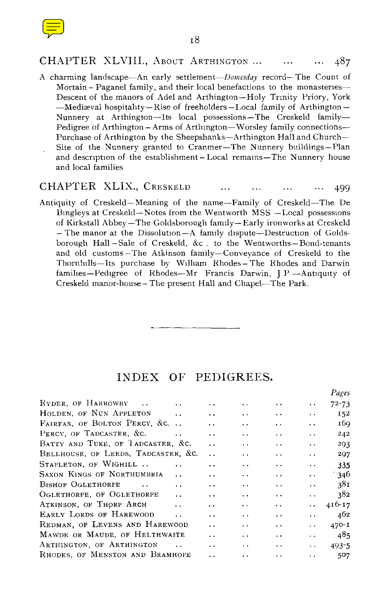

### CHAPTER XLVIII., ABOUT ARTHINGTON ... ... ... 487

A charming landscape-An early settlement-Domesday record--The Count of Mortain - Paganel family, and their local benefactions to the monasteries-Descent of the manors of Adel and Arthington-Holy Trinity Priory, York -Mediæval hospitality-Rise of freeholders-Local family of Arthington-Nunnery at Arthington-Its local possessions-The Creskeld family-Pedigree of Arthington- Arms of Arthington-Worsley family connections-Purchase of Arthington by the Sheepshanks-Arthington Hall and Church-Site of the Nunnery granted to Cranmer-The Nunnery buildings-Plan and description of the establishment- Local remains-The Nunnery house and local families

### CHAPTER XLIX., CRESKELD 499  $\cdots$  $\ddotsc$  $\cdots$

Antiquity of Creskeld-Meaning of the name-Family of Creskeld-The De Bingleys at Creskeld-Notes from the Wentworth MSS -Local possessions of Kirkstall Abbey-The Goldsborough family-Early ironworks at Creskeld - The manor at the Dissolution-A family dispute-Destruction of Goldsborough Hall -Sale of Creskeld, &c , to the Wentworths-Bond-tenants and old customs -The Atkinson family-Conveyance of Creskeld to the Thornhills-Its purchase by William Rhodes-The Rhodes and Darwin families-Pedigree of Rhodes-Mr Francis Darwin,  $P$ -Antiquity of Creskeld manor-house- The present Hall and Chapel-The Park.

### INDEX OF PEDIGREES.

*Pages*

|                                                    |                      |                      |                      |                      | $1 \, \mu$ g v $3$ |
|----------------------------------------------------|----------------------|----------------------|----------------------|----------------------|--------------------|
| RYDER, OF HARROWBY<br>$\sim$<br>. .                | . .                  | . .                  | $\ddotsc$            | $\ddot{\phantom{0}}$ | $72 - 73$          |
| HOLDEN, OF NUN APPLETON<br>. .                     | $\ddot{\phantom{0}}$ | . .                  | $\ddot{\phantom{1}}$ | $\ddot{\phantom{1}}$ | 152                |
| FAIRFAX, OF BOLTON PERCY, &C.                      | $\cdot$ .            | $\ddotsc$            | $\ddot{\phantom{1}}$ | . .                  | 169                |
| PERCY, OF TADCASTER, &C.<br>$\ddot{\phantom{0}}$   | . .                  | . .                  | . .                  | . .                  | 242                |
| BATTY AND TUKE, OF TADCASTER, &C.                  | $\ddot{\phantom{0}}$ | $\cdot$ $\cdot$      | . .                  | . .                  | 293                |
| BELLHOUSE, OF LEEDS, TADCASTER, &C.                | $\ddot{\phantom{0}}$ | . .                  | $\ddot{\phantom{0}}$ | $\ddot{\phantom{0}}$ | 297                |
| STAPLETON, OF WIGHILL<br>. .                       | . .                  | $\ddot{\phantom{1}}$ | $\ddot{\phantom{0}}$ | $\ddot{\phantom{1}}$ | 335                |
| SAXON KINGS OF NORTHUMBRIA<br>$\ddot{\phantom{0}}$ | $\ddot{\phantom{0}}$ | . .                  | $\ddot{\phantom{0}}$ | $\ddot{\phantom{1}}$ | $^{\prime}$ 346    |
| <b>BISHOP OGLETHORPE</b><br>$\ddot{\phantom{a}}$   | $\cdot$ $\cdot$      | $\ddot{\phantom{0}}$ | $\cdot$ .            | $\ddot{\phantom{0}}$ | 381                |
| OGLETHORPE, OF OGLETHORPE<br>$\ddot{\phantom{0}}$  | $\ddot{\phantom{0}}$ | $\ddotsc$            | $\ddot{\phantom{1}}$ | $\ddot{\phantom{0}}$ | 382                |
| ATKINSON, OF THORP ARCH<br>$\ddot{\phantom{a}}$    | . .                  | $\ddot{\phantom{1}}$ | $\ddot{\phantom{1}}$ | $\ddot{\phantom{1}}$ | 416-17             |
| EARLY LORDS OF HAREWOOD<br>$\ddot{\phantom{a}}$    | $\ddot{\phantom{0}}$ | $\ddot{\phantom{1}}$ | $\cdot$ .            | $\ddot{\phantom{0}}$ | 462                |
| REDMAN, OF LEVENS AND HAREWOOD                     | . .                  | $\cdot$ .            | $\ddot{\phantom{0}}$ | . .                  | $470 - I$          |
| MAWDE OR MAUDE, OF HELTHWAITE                      | $\ddot{\phantom{0}}$ | . .                  | $\cdot$ .            | . .                  | 485                |
| ARTHINGTON, OF ARTHINGTON                          | $\ddot{\phantom{0}}$ | $\cdot$ $\cdot$      | . .                  | $\ddot{\phantom{0}}$ | $493 - 5$          |
| RHODES OF MENSTON AND BRAMHOPE                     | . .                  | $\ddot{\phantom{0}}$ | $\ddot{\phantom{0}}$ | $\ddot{\phantom{a}}$ | 507                |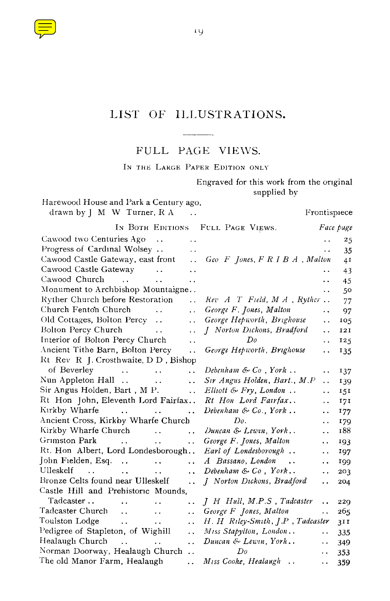

# LIST OF ILLUSTRATIONS.

 $\overline{\phantom{a}}$ FULL PAGE VIEWS.

IN THE LARGE PAPER EDITION ONLY

Engraved for this work from the original supplied by

| Harewood House and Park a Century ago,                    |                      |                                         |                      |              |
|-----------------------------------------------------------|----------------------|-----------------------------------------|----------------------|--------------|
| drawn by $\parallel$ M W Turner, R A                      |                      |                                         |                      | Frontispiece |
|                                                           |                      | IN BOTH EDITIONS FULL PAGE VIEWS.       |                      | Face page    |
| Cawood two Centuries Ago<br>$\sim$                        |                      |                                         |                      | 25           |
| Progress of Cardinal Wolsey                               | . .                  |                                         |                      | 35           |
| Cawood Castle Gateway, east front                         | $\ddot{\phantom{a}}$ | $Geo F$ Jones, $F$ R I B $A$ , Malton   |                      | 41           |
| Cawood Castle Gateway<br>$\sim$ $\sim$                    | $\ddot{\phantom{0}}$ |                                         | . .                  | 43           |
| Cawood Church<br>$\sim$ $\sim$<br>$\ddot{\phantom{0}}$    | . .                  |                                         | . .                  | 45           |
| Monument to Archbishop Mountaigne                         |                      |                                         | $\ddot{\phantom{0}}$ | 50           |
| Ryther Church before Restoration                          | $\ddot{\phantom{0}}$ | $Rev A T Field, MA$ , Ryther            |                      | 77           |
| Church Fenton Church<br>$\sim$ 100 $\sim$ 100 $\sim$      | $\ddot{\phantom{0}}$ | George F. Jones, Malton                 | . .                  | 97           |
| Old Cottages, Bolton Percy                                | $\ddot{\phantom{0}}$ | George Hepworth, Brighouse              | $\ddot{\phantom{0}}$ | 105          |
| Bolton Percy Church<br>$\sim$ $\sim$                      | . .                  | J Norton Dickons, Bradford              | τ.                   | 121          |
| Interior of Bolton Percy Church                           | ٠.                   | Do                                      | . .                  | 125          |
| Ancient Tithe Barn, Bolton Percy                          | $\ddot{\phantom{0}}$ | George Hepworth, Brighouse              | . .                  | 135          |
| Rt Rev R J. Crosthwaite, D D, Bishop                      |                      |                                         |                      |              |
| of Beverley<br>$\ddot{\phantom{a}}$<br>$\sim$             | $\ddotsc$            | Debenham & $Co$ , York                  | $\ddot{\phantom{0}}$ | 137          |
| Nun Appleton Hall                                         | $\ddot{\phantom{0}}$ | Sir Angus Holden, Bart., M.P            | . .                  | 139          |
| Sir Angus Holden, Bart, M P.                              | $\ddot{\phantom{0}}$ | $Elliott \& Fry, London$                | . .                  | 151          |
| Rt Hon John, Eleventh Lord Fairfax                        |                      | Rt Hon Lord Fairfax                     | . .                  | 171          |
| Kirkby Wharfe<br>and the contract of the con-             | $\ddot{\phantom{0}}$ | Debenham & $Co.$ , York                 | ٠.                   | 177          |
| Ancient Cross, Kirkby Wharfe Church                       |                      | Do.                                     | ٠.                   | 179          |
| Kirkby Wharfe Church<br><b>Contractor</b>                 | . .                  | Duncan & Lewin, York                    | . .                  | 188          |
| Grimston Park<br>$\ddotsc$<br>$\ddot{\phantom{0}}$        | . .                  | George F. Jones, Malton                 | μ.                   | 193          |
| Rt. Hon Albert, Lord Londesborough                        |                      | Earl of Londesborough                   | . .                  | 197          |
| John Fielden, Esq<br>$\ddot{\phantom{a}}$ .               | $\ddot{\phantom{0}}$ | A Bassano, London<br>$\sim$             | . .                  | 199          |
| Ulleskelf<br>$\mathbf{r}$<br>$\ddotsc$<br>н.              | $\ddot{\phantom{a}}$ | Debenham $\&$ Co, York                  | $\ddot{\phantom{1}}$ | 203          |
| Bronze Celts found near Ulleskelf                         | $\ddot{\phantom{a}}$ | J Norton Dickons, Bradford              | . .                  | 204          |
| Castle Hill and Prehistoric Mounds,                       |                      |                                         |                      |              |
| Tadcaster<br>$\ddot{\phantom{a}}$<br>$\ddot{\phantom{a}}$ | . .                  | J H Hull, M.P.S, Tadcaster              | . .                  | 229          |
| Tadcaster Church<br>$\sim$ .<br>$\sim$ $\sim$             | $\ddot{\phantom{0}}$ | George F Jones, Malton                  | $\ddot{\phantom{a}}$ | 265          |
| Toulston Lodge<br>$\sim 100$ km s $^{-1}$                 | $\ddot{\phantom{0}}$ | $H. H.$ Riley-Smith, $I.P.$ , Tadcaster |                      | 311          |
| Pedigree of Stapleton, of Wighill                         | $\ddot{\phantom{a}}$ | Miss Stapylton, London                  | $\ddot{\phantom{1}}$ | 335          |
| Healaugh Church<br>and the state                          | $\sim$ $\sim$        | Duncan & Lewin, York                    | $\ddotsc$            | 349          |
| Norman Doorway, Healaugh Church                           |                      | Do                                      | $\ddot{\phantom{0}}$ | 353          |
| The old Manor Farm, Healaugh                              | $\ddotsc$            | Miss Cooke, Healaugh                    | . .                  | 359          |

19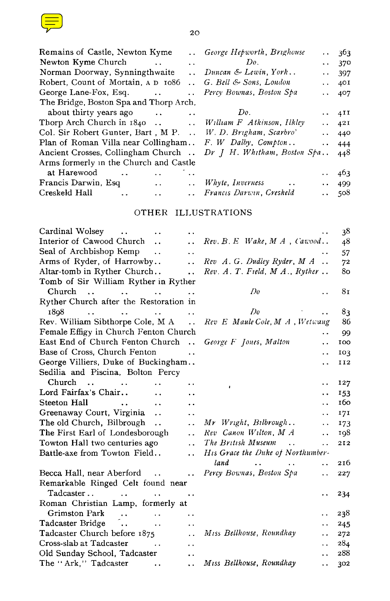| and the state of the state of the state of the state of the state of the state of the state of the state of th                                                                                                                            |    |
|-------------------------------------------------------------------------------------------------------------------------------------------------------------------------------------------------------------------------------------------|----|
| and the state of the state of the state of the state of the state of the state of the state of the state of th<br>$\mathcal{L}(\mathcal{L})$ and $\mathcal{L}(\mathcal{L})$ and $\mathcal{L}(\mathcal{L})$ and $\mathcal{L}(\mathcal{L})$ |    |
| <b>Contract Contract Contract Contract Contract Contract Contract Contract Contract Contract Contract Contract Co</b><br>the contract of the contract of                                                                                  | ۰, |
|                                                                                                                                                                                                                                           |    |

| Newton Kyme Church                                                  | Do.<br>Alberta Contractor | $\cdot$ 370  |
|---------------------------------------------------------------------|---------------------------|--------------|
| Norman Doorway, Synningthwaite  Duncan & Lewin, York                |                           | $-397$       |
| Robert, Count of Mortain, A D 1086 . G. Bell & Sons, London         |                           | $\cdot$ 40I  |
|                                                                     | Percy Bownas, Boston Spa  | $\cdots$ 407 |
| The Bridge, Boston Spa and Thorp Arch,                              |                           |              |
|                                                                     | Do.                       | $\cdots$ 4II |
| Thorp Arch Church in 1840  William F Atkinson, Ilkley               |                           | $\cdots$ 421 |
| Col. Sir Robert Gunter, Bart, M.P.  W. D. Brigham, Scarbro'         |                           | $\cdots$ 440 |
| Plan of Roman Villa near Collingham $F. W$ Dalby, Compton           |                           | $-444$       |
| Ancient Crosses, Collingham Church  Dr J H. Whitham, Boston Spa 448 |                           |              |
| Arms formerly in the Church and Castle                              |                           |              |
| at Harewood<br>$\ddot{\phantom{a}}$                                 | . .                       | 463          |
| Francis Darwin, Esq<br>$\mathbf{r}$ , $\mathbf{r}$ , $\mathbf{r}$   | Whyte, Inverness          | $\cdot$ 499  |
| Creskeld Hall<br>. .                                                | Francıs Darwın, Creskeld  | - 508        |
|                                                                     |                           |              |

### OTHER ILLUSTRATIONS

| Cardinal Wolsey<br>$\ddot{\phantom{0}}$<br>. .                                                                                                  | 38                                                                                                                                     |
|-------------------------------------------------------------------------------------------------------------------------------------------------|----------------------------------------------------------------------------------------------------------------------------------------|
| Interior of Cawood Church<br>$\ddot{\phantom{0}}$                                                                                               | Rev. B. E. Wake, M. A. Cawood<br>48                                                                                                    |
| Seal of Archbishop Kemp<br>$\ddot{\phantom{0}}$                                                                                                 | 57                                                                                                                                     |
| Arms of Ryder, of Harrowby<br>$\ddot{\phantom{a}}$                                                                                              | Rev A. G. Dudley Ryder, M A<br>72                                                                                                      |
| Altar-tomb in Ryther Church<br>$\ddot{\phantom{a}}$                                                                                             | Rev. A. T. Field, M. A., Ryther<br>80                                                                                                  |
| Tomb of Sir William Ryther in Ryther                                                                                                            |                                                                                                                                        |
| Church<br>and the state of the state<br>$\mathbf{r}$ , and $\mathbf{r}$ , and $\mathbf{r}$                                                      | Do<br>8 <sub>T</sub>                                                                                                                   |
| Ryther Church after the Restoration in                                                                                                          |                                                                                                                                        |
| 1898<br>the contract of the contract of the contract of the contract of the contract of the contract of the contract of<br>$\ddot{\phantom{a}}$ | Do<br>83                                                                                                                               |
| Rev. William Sibthorpe Cole, M A                                                                                                                | Rev E Maule Cole, M A, Wetwang<br>86                                                                                                   |
| Female Effigy in Church Fenton Church                                                                                                           | 99<br>. .                                                                                                                              |
| East End of Church Fenton Church                                                                                                                | George F Jones, Malton<br>100<br>. .                                                                                                   |
| Base of Cross, Church Fenton<br>$\ddot{\phantom{0}}$                                                                                            | 103<br>. .                                                                                                                             |
| George Villiers, Duke of Buckingham                                                                                                             | II2<br>$\ddot{\phantom{0}}$                                                                                                            |
| Sedilia and Piscina, Bolton Percy                                                                                                               |                                                                                                                                        |
| $Church$ .<br>. .                                                                                                                               | 127<br>. .<br>٠                                                                                                                        |
| Lord Fairfax's Chair<br>$\ddot{\phantom{a}}$<br>$\ddot{\phantom{0}}$                                                                            | 153<br>. .                                                                                                                             |
| Steeton Hall<br>$\mathbf{L}$<br>$\ddot{\phantom{a}}$<br>$\ddot{\phantom{a}}$                                                                    | 160<br>. .                                                                                                                             |
| Greenaway Court, Virginia<br>$\ddot{\phantom{a}}$<br>. .                                                                                        | 17I<br>. .                                                                                                                             |
| The old Church, Bilbrough<br>$\ddot{\phantom{0}}$                                                                                               | Mr Wright, Bilbrough<br>173<br>$\ddot{\phantom{1}}$                                                                                    |
| The First Earl of Londesborough<br>$\ddot{\phantom{0}}$                                                                                         | Rev Canon Wilton, M A<br>198<br>. .                                                                                                    |
| Towton Hall two centuries ago<br>$\ddot{\phantom{a}}$                                                                                           | The British Museum<br>$\ddot{\phantom{a}}$<br>212<br>$\ddot{\phantom{1}}$                                                              |
| Battle-axe from Towton Field<br>$\ddot{\phantom{a}}$                                                                                            | His Grace the Duke of Northumber-                                                                                                      |
|                                                                                                                                                 | land<br>216<br>$\mathbf{a} \cdot \mathbf{a} = \mathbf{a} \cdot \mathbf{a}$ . The $\mathbf{a} \cdot \mathbf{a}$<br>$\ddot{\phantom{a}}$ |
| Becca Hall, near Aberford                                                                                                                       | Percy Bownas, Boston Spa<br>227<br>$\ddot{\phantom{0}}$                                                                                |
| Remarkable Ringed Celt found near                                                                                                               |                                                                                                                                        |
| Tadcaster<br><b><i>Committee State State State State</i></b><br>$\ddotsc$                                                                       | 234                                                                                                                                    |
| Roman Christian Lamp, formerly at                                                                                                               |                                                                                                                                        |
| Grimston Park                                                                                                                                   | 238<br>. .                                                                                                                             |
| $\ddotsc$                                                                                                                                       | 245<br>. .                                                                                                                             |
| Tadcaster Church before 1875<br>$\ddot{\phantom{a}}$                                                                                            | Miss Bellhouse, Roundhay<br>272<br>. .                                                                                                 |
| Cross-slab at Tadcaster<br>$\sim$ 100 $\sim$ 100 $\sim$<br>. .                                                                                  | 284<br>$\ddot{\phantom{0}}$                                                                                                            |
| Old Sunday School, Tadcaster<br>. .                                                                                                             | 288<br>$\ddot{\phantom{0}}$                                                                                                            |
| The "Ark," Tadcaster<br>$\ddot{\phantom{0}}$<br>. .                                                                                             | Miss Bellhouse, Roundhay<br>302<br>. .                                                                                                 |